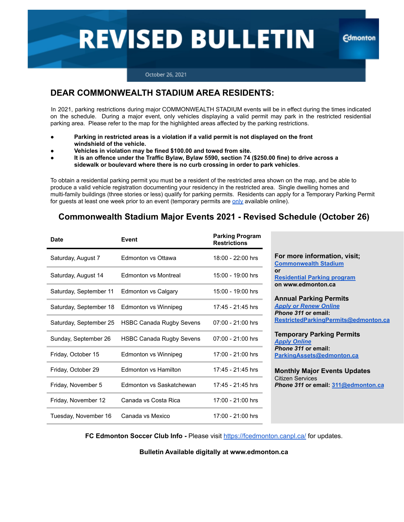# **REVISED BULLETIN**

**Edmonton** 

#### October 26, 2021

## **DEAR COMMONWEALTH STADIUM AREA RESIDENTS:**

In 2021, parking restrictions during major COMMONWEALTH STADIUM events will be in effect during the times indicated on the schedule. During a major event, only vehicles displaying a valid permit may park in the restricted residential parking area. Please refer to the map for the highlighted areas affected by the parking restrictions.

- Parking in restricted areas is a violation if a valid permit is not displayed on the front **windshield of the vehicle.**
- Vehicles in violation may be fined \$100.00 and towed from site.
- **It is an offence under the Traffic Bylaw, Bylaw 5590, section 74 (\$250.00 fine) to drive across a sidewalk or boulevard where there is no curb crossing in order to park vehicles**.

To obtain a residential parking permit you must be a resident of the restricted area shown on the map, and be able to produce a valid vehicle registration documenting your residency in the restricted area. Single dwelling homes and multi-family buildings (three stories or less) qualify for parking permits. Residents can apply for a Temporary Parking Permit for guests at least one week prior to an event (temporary permits are [only](https://www.edmonton.ca/programs_services/service-temporary-residential-parking-permits.aspx) available online).

## **Commonwealth Stadium Major Events 2021 - Revised Schedule (October 26)**

| <b>Date</b>            | Event                           | <b>Parking Program</b><br><b>Restrictions</b> |                                                                                                                                                                                                                                                                                                                                                                                                                                                                                |
|------------------------|---------------------------------|-----------------------------------------------|--------------------------------------------------------------------------------------------------------------------------------------------------------------------------------------------------------------------------------------------------------------------------------------------------------------------------------------------------------------------------------------------------------------------------------------------------------------------------------|
| Saturday, August 7     | Edmonton vs Ottawa              | 18:00 - 22:00 hrs                             | For more information, visit;<br><b>Commonwealth Stadium</b><br>or<br><b>Residential Parking program</b><br>on www.edmonton.ca<br><b>Annual Parking Permits</b><br><b>Apply or Renew Online</b><br>Phone 311 or email:<br>RestrictedParkingPermits@edmonton.ca<br><b>Temporary Parking Permits</b><br><b>Apply Online</b><br>Phone 311 or email:<br>ParkingAssets@edmonton.ca<br><b>Monthly Major Events Updates</b><br>Citizen Services<br>Phone 311 or email: 311@edmonton.ca |
| Saturday, August 14    | <b>Edmonton vs Montreal</b>     | 15:00 - 19:00 hrs                             |                                                                                                                                                                                                                                                                                                                                                                                                                                                                                |
| Saturday, September 11 | Edmonton vs Calgary             | 15:00 - 19:00 hrs                             |                                                                                                                                                                                                                                                                                                                                                                                                                                                                                |
| Saturday, September 18 | Edmonton vs Winnipeg            | 17:45 - 21:45 hrs                             |                                                                                                                                                                                                                                                                                                                                                                                                                                                                                |
| Saturday, September 25 | <b>HSBC Canada Rugby Sevens</b> | $07:00 - 21:00$ hrs                           |                                                                                                                                                                                                                                                                                                                                                                                                                                                                                |
| Sunday, September 26   | <b>HSBC Canada Rugby Sevens</b> | $07:00 - 21:00$ hrs                           |                                                                                                                                                                                                                                                                                                                                                                                                                                                                                |
| Friday, October 15     | Edmonton vs Winnipeg            | 17:00 - 21:00 hrs                             |                                                                                                                                                                                                                                                                                                                                                                                                                                                                                |
| Friday, October 29     | Edmonton vs Hamilton            | 17:45 - 21:45 hrs                             |                                                                                                                                                                                                                                                                                                                                                                                                                                                                                |
| Friday, November 5     | Edmonton vs Saskatchewan        | 17:45 - 21:45 hrs                             |                                                                                                                                                                                                                                                                                                                                                                                                                                                                                |
| Friday, November 12    | Canada vs Costa Rica            | 17:00 - 21:00 hrs                             |                                                                                                                                                                                                                                                                                                                                                                                                                                                                                |
| Tuesday, November 16   | Canada vs Mexico                | 17:00 - 21:00 hrs                             |                                                                                                                                                                                                                                                                                                                                                                                                                                                                                |

**FC Edmonton Soccer Club Info -** Please visit <https://fcedmonton.canpl.ca/> for updates.

**Bulletin Available digitally at www.edmonton.ca**